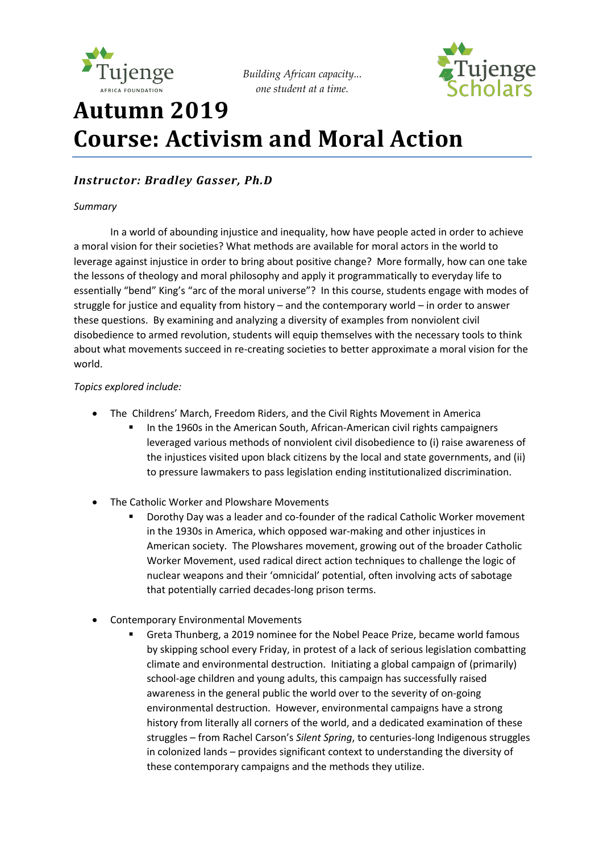

*Building African capacity... one student at a time.*



# **Autumn 2019 Course: Activism and Moral Action**

### *Instructor: Bradley Gasser, Ph.D*

#### *Summary*

In a world of abounding injustice and inequality, how have people acted in order to achieve a moral vision for their societies? What methods are available for moral actors in the world to leverage against injustice in order to bring about positive change? More formally, how can one take the lessons of theology and moral philosophy and apply it programmatically to everyday life to essentially "bend" King's "arc of the moral universe"? In this course, students engage with modes of struggle for justice and equality from history – and the contemporary world – in order to answer these questions. By examining and analyzing a diversity of examples from nonviolent civil disobedience to armed revolution, students will equip themselves with the necessary tools to think about what movements succeed in re-creating societies to better approximate a moral vision for the world.

#### *Topics explored include:*

- The Childrens' March, Freedom Riders, and the Civil Rights Movement in America
	- In the 1960s in the American South, African-American civil rights campaigners leveraged various methods of nonviolent civil disobedience to (i) raise awareness of the injustices visited upon black citizens by the local and state governments, and (ii) to pressure lawmakers to pass legislation ending institutionalized discrimination.
- The Catholic Worker and Plowshare Movements
	- § Dorothy Day was a leader and co-founder of the radical Catholic Worker movement in the 1930s in America, which opposed war-making and other injustices in American society. The Plowshares movement, growing out of the broader Catholic Worker Movement, used radical direct action techniques to challenge the logic of nuclear weapons and their 'omnicidal' potential, often involving acts of sabotage that potentially carried decades-long prison terms.
- Contemporary Environmental Movements
	- § Greta Thunberg, a 2019 nominee for the Nobel Peace Prize, became world famous by skipping school every Friday, in protest of a lack of serious legislation combatting climate and environmental destruction. Initiating a global campaign of (primarily) school-age children and young adults, this campaign has successfully raised awareness in the general public the world over to the severity of on-going environmental destruction. However, environmental campaigns have a strong history from literally all corners of the world, and a dedicated examination of these struggles – from Rachel Carson's *Silent Spring*, to centuries-long Indigenous struggles in colonized lands – provides significant context to understanding the diversity of these contemporary campaigns and the methods they utilize.